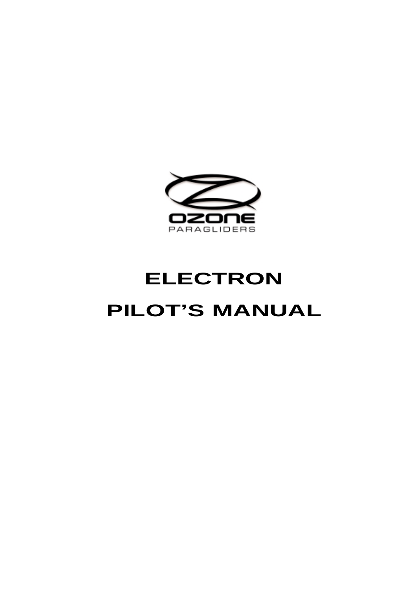

# **ELECTRON PILOT'S MANUAL**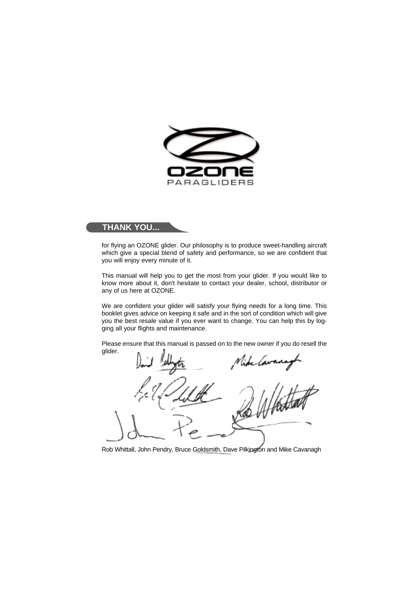

# **THANK YOU...**

for flying an OZONE glider. Our philosophy is to produce sweet-handling aircraft which give a special blend of safety and performance, so we are confident that you will enjoy every minute of it.

This manual will help you to get the most from your glider. If you would like to know more about it, don't hesitate to contact your dealer, school, distributor or any of us here at OZONE.

We are confident your glider will satisfy your flying needs for a long time. This booklet gives advice on keeping it safe and in the sort of condition which will give you the best resale value if you ever want to change. You can help this by logging all your flights and maintenance.

Please ensure that this manual is passed on to the new owner if you do resell the glider.

*lavan* 

Rob Whittall, John Pendry, Bruce Goldsmith, Dave Pilkington and Mike Cavanagh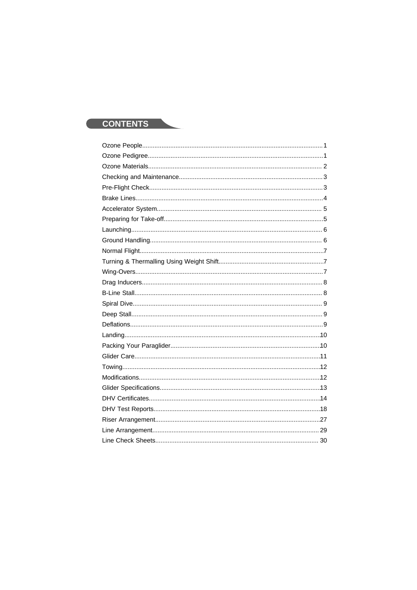# **CONTENTS**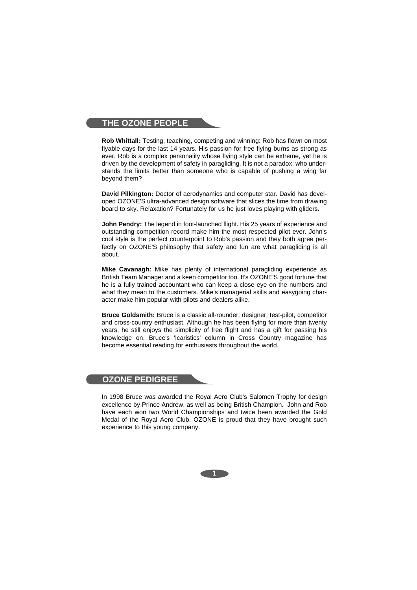### **THE OZONE PEOPLE**

**Rob Whittall:** Testing, teaching, competing and winning: Rob has flown on most flyable days for the last 14 years. His passion for free flying burns as strong as ever. Rob is a complex personality whose flying style can be extreme, yet he is driven by the development of safety in paragliding. It is not a paradox: who understands the limits better than someone who is capable of pushing a wing far beyond them?

**David Pilkington:** Doctor of aerodynamics and computer star. David has developed OZONE'S ultra-advanced design software that slices the time from drawing board to sky. Relaxation? Fortunately for us he just loves playing with gliders.

**John Pendry:** The legend in foot-launched flight. His 25 years of experience and outstanding competition record make him the most respected pilot ever. John's cool style is the perfect counterpoint to Rob's passion and they both agree perfectly on OZONE'S philosophy that safety and fun are what paragliding is all about.

**Mike Cavanagh:** Mike has plenty of international paragliding experience as British Team Manager and a keen competitor too. It's OZONE'S good fortune that he is a fully trained accountant who can keep a close eye on the numbers and what they mean to the customers. Mike's managerial skills and easygoing character make him popular with pilots and dealers alike.

**Bruce Goldsmith:** Bruce is a classic all-rounder: designer, test-pilot, competitor and cross-country enthusiast. Although he has been flying for more than twenty years, he still enjoys the simplicity of free flight and has a gift for passing his knowledge on. Bruce's 'Icaristics' column in Cross Country magazine has become essential reading for enthusiasts throughout the world.

# **OZONE PEDIGREE**

In 1998 Bruce was awarded the Royal Aero Club's Salomen Trophy for design excellence by Prince Andrew, as well as being British Champion. John and Rob have each won two World Championships and twice been awarded the Gold Medal of the Royal Aero Club. OZONE is proud that they have brought such experience to this young company.

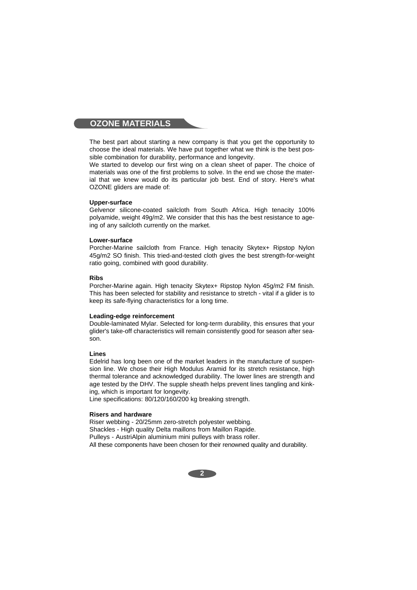## **OZONE MATERIALS**

The best part about starting a new company is that you get the opportunity to choose the ideal materials. We have put together what we think is the best possible combination for durability, performance and longevity.

We started to develop our first wing on a clean sheet of paper. The choice of materials was one of the first problems to solve. In the end we chose the material that we knew would do its particular job best. End of story. Here's what OZONE gliders are made of:

#### **Upper-surface**

Gelvenor silicone-coated sailcloth from South Africa. High tenacity 100% polyamide, weight 49g/m2. We consider that this has the best resistance to ageing of any sailcloth currently on the market.

#### **Lower-surface**

Porcher-Marine sailcloth from France. High tenacity Skytex+ Ripstop Nylon 45g/m2 SO finish. This tried-and-tested cloth gives the best strength-for-weight ratio going, combined with good durability.

#### **Ribs**

Porcher-Marine again. High tenacity Skytex+ Ripstop Nylon 45g/m2 FM finish. This has been selected for stability and resistance to stretch - vital if a glider is to keep its safe-flying characteristics for a long time.

#### **Leading-edge reinforcement**

Double-laminated Mylar. Selected for long-term durability, this ensures that your glider's take-off characteristics will remain consistently good for season after season.

#### **Lines**

Edelrid has long been one of the market leaders in the manufacture of suspension line. We chose their High Modulus Aramid for its stretch resistance, high thermal tolerance and acknowledged durability. The lower lines are strength and age tested by the DHV. The supple sheath helps prevent lines tangling and kinking, which is important for longevity.

Line specifications: 80/120/160/200 kg breaking strength.

#### **Risers and hardware**

Riser webbing - 20/25mm zero-stretch polyester webbing. Shackles - High quality Delta maillons from Maillon Rapide. Pulleys - AustriAlpin aluminium mini pulleys with brass roller. All these components have been chosen for their renowned quality and durability.

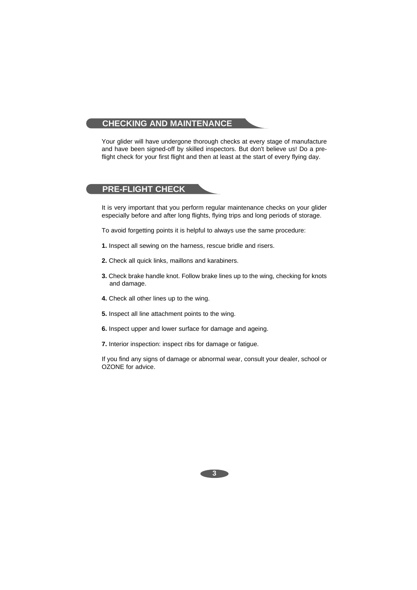# **CHECKING AND MAINTENANCE**

Your glider will have undergone thorough checks at every stage of manufacture and have been signed-off by skilled inspectors. But don't believe us! Do a preflight check for your first flight and then at least at the start of every flying day.

# **PRE-FLIGHT CHECK**

It is very important that you perform regular maintenance checks on your glider especially before and after long flights, flying trips and long periods of storage.

To avoid forgetting points it is helpful to always use the same procedure:

- **1.** Inspect all sewing on the harness, rescue bridle and risers.
- **2.** Check all quick links, maillons and karabiners.
- **3.** Check brake handle knot. Follow brake lines up to the wing, checking for knots and damage.
- **4.** Check all other lines up to the wing.
- **5.** Inspect all line attachment points to the wing.
- **6.** Inspect upper and lower surface for damage and ageing.
- **7.** Interior inspection: inspect ribs for damage or fatigue.

If you find any signs of damage or abnormal wear, consult your dealer, school or OZONE for advice.

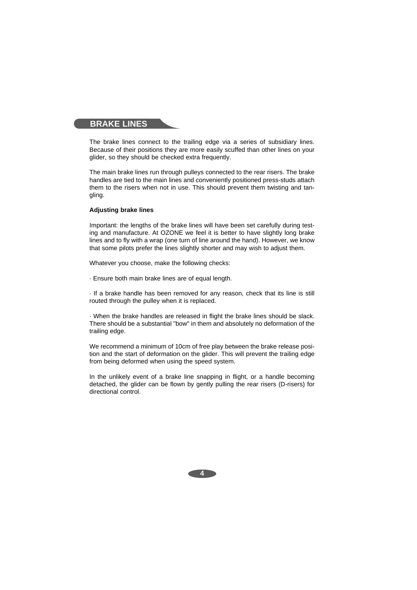## **BRAKE LINES**

The brake lines connect to the trailing edge via a series of subsidiary lines. Because of their positions they are more easily scuffed than other lines on your glider, so they should be checked extra frequently.

The main brake lines run through pulleys connected to the rear risers. The brake handles are tied to the main lines and conveniently positioned press-studs attach them to the risers when not in use. This should prevent them twisting and tangling.

#### **Adjusting brake lines**

Important: the lengths of the brake lines will have been set carefully during testing and manufacture. At OZONE we feel it is better to have slightly long brake lines and to fly with a wrap (one turn of line around the hand). However, we know that some pilots prefer the lines slightly shorter and may wish to adjust them.

Whatever you choose, make the following checks:

· Ensure both main brake lines are of equal length.

· If a brake handle has been removed for any reason, check that its line is still routed through the pulley when it is replaced.

· When the brake handles are released in flight the brake lines should be slack. There should be a substantial "bow" in them and absolutely no deformation of the trailing edge.

We recommend a minimum of 10cm of free play between the brake release position and the start of deformation on the glider. This will prevent the trailing edge from being deformed when using the speed system.

In the unlikely event of a brake line snapping in flight, or a handle becoming detached, the glider can be flown by gently pulling the rear risers (D-risers) for directional control.

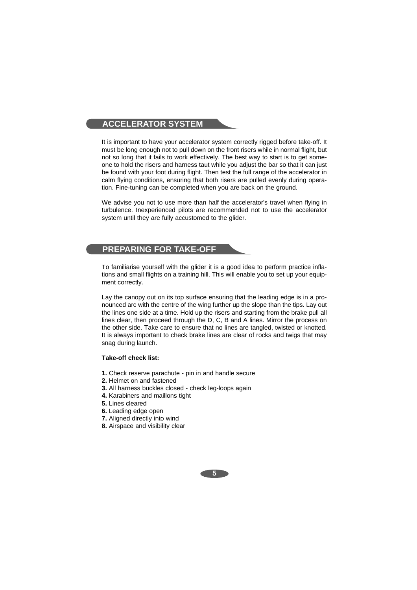# **ACCELERATOR SYSTEM**

It is important to have your accelerator system correctly rigged before take-off. It must be long enough not to pull down on the front risers while in normal flight, but not so long that it fails to work effectively. The best way to start is to get someone to hold the risers and harness taut while you adjust the bar so that it can just be found with your foot during flight. Then test the full range of the accelerator in calm flying conditions, ensuring that both risers are pulled evenly during operation. Fine-tuning can be completed when you are back on the ground.

We advise you not to use more than half the accelerator's travel when flying in turbulence. Inexperienced pilots are recommended not to use the accelerator system until they are fully accustomed to the glider.

# **PREPARING FOR TAKE-OFF**

To familiarise yourself with the glider it is a good idea to perform practice inflations and small flights on a training hill. This will enable you to set up your equipment correctly.

Lay the canopy out on its top surface ensuring that the leading edge is in a pronounced arc with the centre of the wing further up the slope than the tips. Lay out the lines one side at a time. Hold up the risers and starting from the brake pull all lines clear, then proceed through the D, C, B and A lines. Mirror the process on the other side. Take care to ensure that no lines are tangled, twisted or knotted. It is always important to check brake lines are clear of rocks and twigs that may snag during launch.

#### **Take-off check list:**

- **1.** Check reserve parachute pin in and handle secure
- **2.** Helmet on and fastened
- **3.** All harness buckles closed check leg-loops again
- **4.** Karabiners and maillons tight
- **5.** Lines cleared
- **6.** Leading edge open
- **7.** Aligned directly into wind
- **8.** Airspace and visibility clear

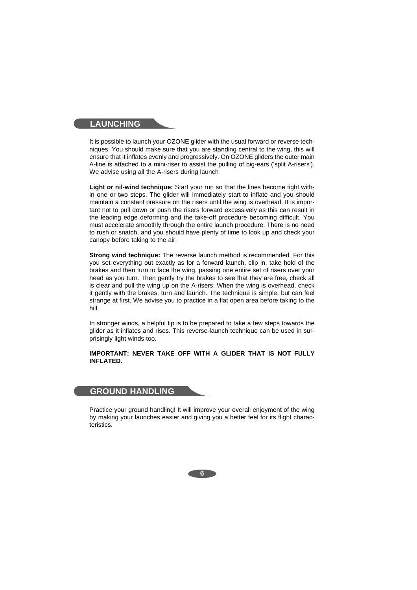## **LAUNCHING**

It is possible to launch your OZONE glider with the usual forward or reverse techniques. You should make sure that you are standing central to the wing, this will ensure that it inflates evenly and progressively. On OZONE gliders the outer main A-line is attached to a mini-riser to assist the pulling of big-ears ('split A-risers'). We advise using all the A-risers during launch

**Light or nil-wind technique:** Start your run so that the lines become tight within one or two steps. The glider will immediately start to inflate and you should maintain a constant pressure on the risers until the wing is overhead. It is important not to pull down or push the risers forward excessively as this can result in the leading edge deforming and the take-off procedure becoming difficult. You must accelerate smoothly through the entire launch procedure. There is no need to rush or snatch, and you should have plenty of time to look up and check your canopy before taking to the air.

**Strong wind technique:** The reverse launch method is recommended. For this you set everything out exactly as for a forward launch, clip in, take hold of the brakes and then turn to face the wing, passing one entire set of risers over your head as you turn. Then gently try the brakes to see that they are free, check all is clear and pull the wing up on the A-risers. When the wing is overhead, check it gently with the brakes, turn and launch. The technique is simple, but can feel strange at first. We advise you to practice in a flat open area before taking to the hill.

In stronger winds, a helpful tip is to be prepared to take a few steps towards the glider as it inflates and rises. This reverse-launch technique can be used in surprisingly light winds too.

#### **IMPORTANT: NEVER TAKE OFF WITH A GLIDER THAT IS NOT FULLY INFLATED.**

### **GROUND HANDLING**

Practice your ground handling! It will improve your overall enjoyment of the wing by making your launches easier and giving you a better feel for its flight characteristics.

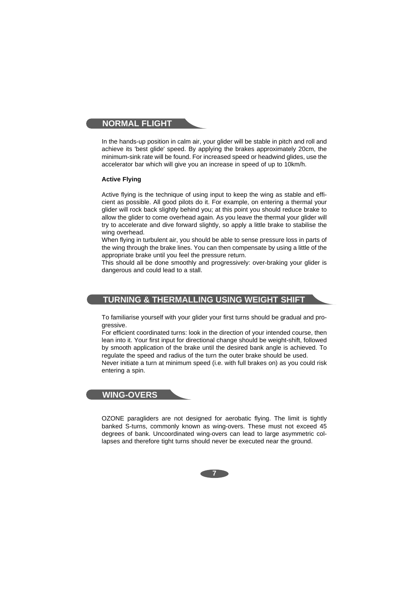## **NORMAL FLIGHT**

In the hands-up position in calm air, your glider will be stable in pitch and roll and achieve its 'best glide' speed. By applying the brakes approximately 20cm, the minimum-sink rate will be found. For increased speed or headwind glides, use the accelerator bar which will give you an increase in speed of up to 10km/h.

### **Active Flying**

Active flying is the technique of using input to keep the wing as stable and efficient as possible. All good pilots do it. For example, on entering a thermal your glider will rock back slightly behind you; at this point you should reduce brake to allow the glider to come overhead again. As you leave the thermal your glider will try to accelerate and dive forward slightly, so apply a little brake to stabilise the wing overhead.

When flying in turbulent air, you should be able to sense pressure loss in parts of the wing through the brake lines. You can then compensate by using a little of the appropriate brake until you feel the pressure return.

This should all be done smoothly and progressively: over-braking your glider is dangerous and could lead to a stall.

# **TURNING & THERMALLING USING WEIGHT SHIFT**

To familiarise yourself with your glider your first turns should be gradual and progressive.

For efficient coordinated turns: look in the direction of your intended course, then lean into it. Your first input for directional change should be weight-shift, followed by smooth application of the brake until the desired bank angle is achieved. To regulate the speed and radius of the turn the outer brake should be used. Never initiate a turn at minimum speed (i.e. with full brakes on) as you could risk entering a spin.

# **WING-OVERS**

OZONE paragliders are not designed for aerobatic flying. The limit is tightly banked S-turns, commonly known as wing-overs. These must not exceed 45 degrees of bank. Uncoordinated wing-overs can lead to large asymmetric collapses and therefore tight turns should never be executed near the ground.

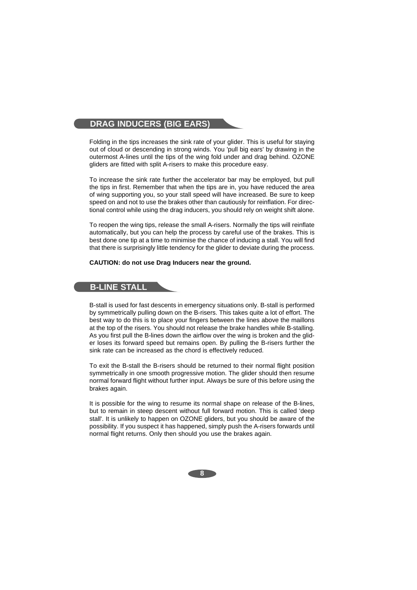# **DRAG INDUCERS (BIG EARS)**

Folding in the tips increases the sink rate of your glider. This is useful for staying out of cloud or descending in strong winds. You 'pull big ears' by drawing in the outermost A-lines until the tips of the wing fold under and drag behind. OZONE gliders are fitted with split A-risers to make this procedure easy.

To increase the sink rate further the accelerator bar may be employed, but pull the tips in first. Remember that when the tips are in, you have reduced the area of wing supporting you, so your stall speed will have increased. Be sure to keep speed on and not to use the brakes other than cautiously for reinflation. For directional control while using the drag inducers, you should rely on weight shift alone.

To reopen the wing tips, release the small A-risers. Normally the tips will reinflate automatically, but you can help the process by careful use of the brakes. This is best done one tip at a time to minimise the chance of inducing a stall. You will find that there is surprisingly little tendency for the glider to deviate during the process.

#### **CAUTION: do not use Drag Inducers near the ground.**

# **B-LINE STALL**

B-stall is used for fast descents in emergency situations only. B-stall is performed by symmetrically pulling down on the B-risers. This takes quite a lot of effort. The best way to do this is to place your fingers between the lines above the maillons at the top of the risers. You should not release the brake handles while B-stalling. As you first pull the B-lines down the airflow over the wing is broken and the glider loses its forward speed but remains open. By pulling the B-risers further the sink rate can be increased as the chord is effectively reduced.

To exit the B-stall the B-risers should be returned to their normal flight position symmetrically in one smooth progressive motion. The glider should then resume normal forward flight without further input. Always be sure of this before using the brakes again.

It is possible for the wing to resume its normal shape on release of the B-lines, but to remain in steep descent without full forward motion. This is called 'deep stall'. It is unlikely to happen on OZONE gliders, but you should be aware of the possibility. If you suspect it has happened, simply push the A-risers forwards until normal flight returns. Only then should you use the brakes again.

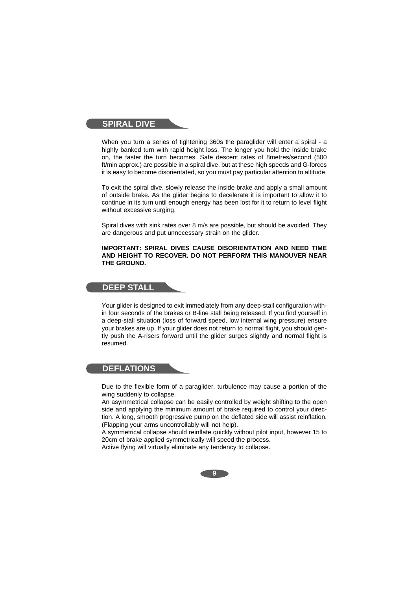### **SPIRAL DIVE**

When you turn a series of tightening 360s the paraglider will enter a spiral - a highly banked turn with rapid height loss. The longer you hold the inside brake on, the faster the turn becomes. Safe descent rates of 8metres/second (500 ft/min approx.) are possible in a spiral dive, but at these high speeds and G-forces it is easy to become disorientated, so you must pay particular attention to altitude.

To exit the spiral dive, slowly release the inside brake and apply a small amount of outside brake. As the glider begins to decelerate it is important to allow it to continue in its turn until enough energy has been lost for it to return to level flight without excessive surging.

Spiral dives with sink rates over 8 m/s are possible, but should be avoided. They are dangerous and put unnecessary strain on the glider.

#### **IMPORTANT: SPIRAL DIVES CAUSE DISORIENTATION AND NEED TIME AND HEIGHT TO RECOVER. DO NOT PERFORM THIS MANOUVER NEAR THE GROUND.**

## **DEEP STALL**

Your glider is designed to exit immediately from any deep-stall configuration within four seconds of the brakes or B-line stall being released. If you find yourself in a deep-stall situation (loss of forward speed, low internal wing pressure) ensure your brakes are up. If your glider does not return to normal flight, you should gently push the A-risers forward until the glider surges slightly and normal flight is resumed.

# **DEFLATIONS**

Due to the flexible form of a paraglider, turbulence may cause a portion of the wing suddenly to collapse.

An asymmetrical collapse can be easily controlled by weight shifting to the open side and applying the minimum amount of brake required to control your direction. A long, smooth progressive pump on the deflated side will assist reinflation. (Flapping your arms uncontrollably will not help).

A symmetrical collapse should reinflate quickly without pilot input, however 15 to 20cm of brake applied symmetrically will speed the process.

Active flying will virtually eliminate any tendency to collapse.

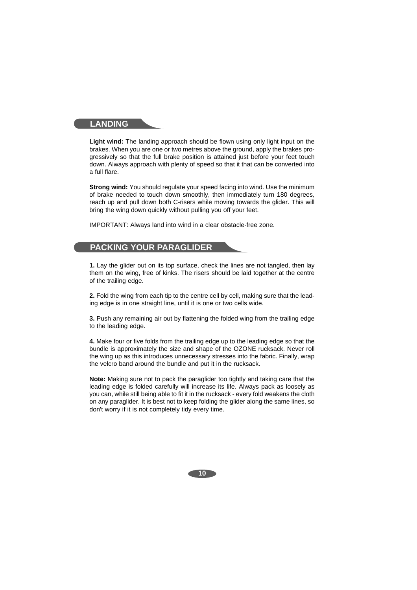### **LANDING**

**Light wind:** The landing approach should be flown using only light input on the brakes. When you are one or two metres above the ground, apply the brakes progressively so that the full brake position is attained just before your feet touch down. Always approach with plenty of speed so that it that can be converted into a full flare.

**Strong wind:** You should regulate your speed facing into wind. Use the minimum of brake needed to touch down smoothly, then immediately turn 180 degrees, reach up and pull down both C-risers while moving towards the glider. This will bring the wing down quickly without pulling you off your feet.

IMPORTANT: Always land into wind in a clear obstacle-free zone.

# **PACKING YOUR PARAGLIDER**

**1.** Lay the glider out on its top surface, check the lines are not tangled, then lay them on the wing, free of kinks. The risers should be laid together at the centre of the trailing edge.

**2.** Fold the wing from each tip to the centre cell by cell, making sure that the leading edge is in one straight line, until it is one or two cells wide.

**3.** Push any remaining air out by flattening the folded wing from the trailing edge to the leading edge.

**4.** Make four or five folds from the trailing edge up to the leading edge so that the bundle is approximately the size and shape of the OZONE rucksack. Never roll the wing up as this introduces unnecessary stresses into the fabric. Finally, wrap the velcro band around the bundle and put it in the rucksack.

**Note:** Making sure not to pack the paraglider too tightly and taking care that the leading edge is folded carefully will increase its life. Always pack as loosely as you can, while still being able to fit it in the rucksack - every fold weakens the cloth on any paraglider. It is best not to keep folding the glider along the same lines, so don't worry if it is not completely tidy every time.

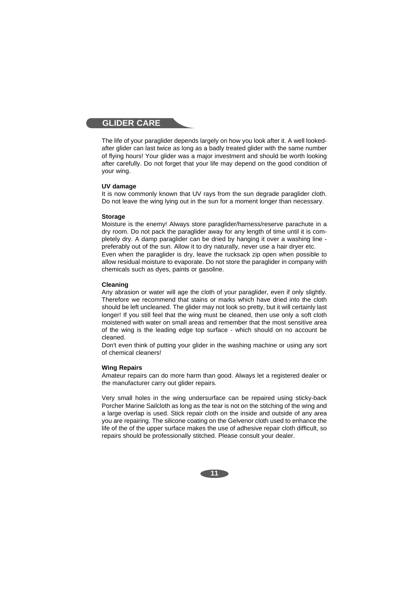### **GLIDER CARE**

The life of your paraglider depends largely on how you look after it. A well lookedafter glider can last twice as long as a badly treated glider with the same number of flying hours! Your glider was a major investment and should be worth looking after carefully. Do not forget that your life may depend on the good condition of your wing.

#### **UV damage**

It is now commonly known that UV rays from the sun degrade paraglider cloth. Do not leave the wing lying out in the sun for a moment longer than necessary.

#### **Storage**

Moisture is the enemy! Always store paraglider/harness/reserve parachute in a dry room. Do not pack the paraglider away for any length of time until it is completely dry. A damp paraglider can be dried by hanging it over a washing line preferably out of the sun. Allow it to dry naturally, never use a hair dryer etc. Even when the paraglider is dry, leave the rucksack zip open when possible to allow residual moisture to evaporate. Do not store the paraglider in company with chemicals such as dyes, paints or gasoline.

#### **Cleaning**

Any abrasion or water will age the cloth of your paraglider, even if only slightly. Therefore we recommend that stains or marks which have dried into the cloth should be left uncleaned. The glider may not look so pretty, but it will certainly last longer! If you still feel that the wing must be cleaned, then use only a soft cloth moistened with water on small areas and remember that the most sensitive area of the wing is the leading edge top surface - which should on no account be cleaned.

Don't even think of putting your glider in the washing machine or using any sort of chemical cleaners!

#### **Wing Repairs**

Amateur repairs can do more harm than good. Always let a registered dealer or the manufacturer carry out glider repairs.

Very small holes in the wing undersurface can be repaired using sticky-back Porcher Marine Sailcloth as long as the tear is not on the stitching of the wing and a large overlap is used. Stick repair cloth on the inside and outside of any area you are repairing. The silicone coating on the Gelvenor cloth used to enhance the life of the of the upper surface makes the use of adhesive repair cloth difficult, so repairs should be professionally stitched. Please consult your dealer.

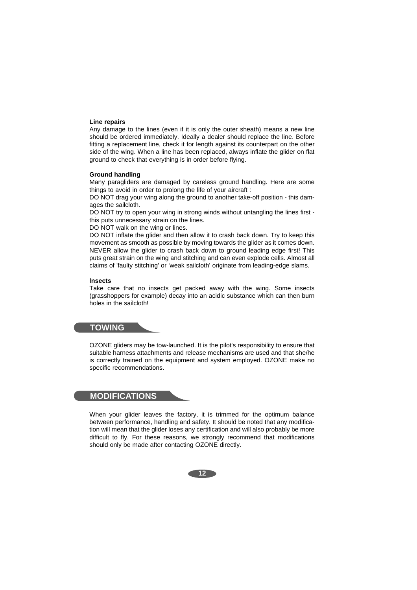#### **Line repairs**

Any damage to the lines (even if it is only the outer sheath) means a new line should be ordered immediately. Ideally a dealer should replace the line. Before fitting a replacement line, check it for length against its counterpart on the other side of the wing. When a line has been replaced, always inflate the glider on flat ground to check that everything is in order before flying.

#### **Ground handling**

Many paragliders are damaged by careless ground handling. Here are some things to avoid in order to prolong the life of your aircraft :

DO NOT drag your wing along the ground to another take-off position - this damages the sailcloth.

DO NOT try to open your wing in strong winds without untangling the lines first this puts unnecessary strain on the lines.

DO NOT walk on the wing or lines.

DO NOT inflate the glider and then allow it to crash back down. Try to keep this movement as smooth as possible by moving towards the glider as it comes down. NEVER allow the glider to crash back down to ground leading edge first! This puts great strain on the wing and stitching and can even explode cells. Almost all claims of 'faulty stitching' or 'weak sailcloth' originate from leading-edge slams.

#### **lnsects**

Take care that no insects get packed away with the wing. Some insects (grasshoppers for example) decay into an acidic substance which can then burn holes in the sailcloth!

### **TOWING**

OZONE gliders may be tow-launched. It is the pilot's responsibility to ensure that suitable harness attachments and release mechanisms are used and that she/he is correctly trained on the equipment and system employed. OZONE make no specific recommendations.

### **MODIFICATIONS**

When your glider leaves the factory, it is trimmed for the optimum balance between performance, handling and safety. It should be noted that any modification will mean that the glider loses any certification and will also probably be more difficult to fly. For these reasons, we strongly recommend that modifications should only be made after contacting OZONE directly.

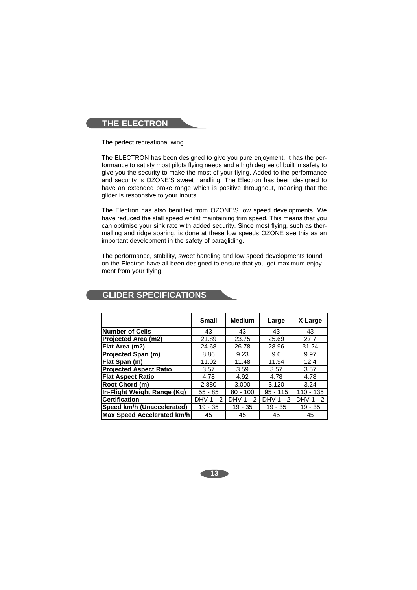# **THE ELECTRON**

The perfect recreational wing.

The ELECTRON has been designed to give you pure enjoyment. It has the performance to satisfy most pilots flying needs and a high degree of built in safety to give you the security to make the most of your flying. Added to the performance and security is OZONE'S sweet handling. The Electron has been designed to have an extended brake range which is positive throughout, meaning that the glider is responsive to your inputs.

The Electron has also benifited from OZONE'S low speed developments. We have reduced the stall speed whilst maintaining trim speed. This means that you can optimise your sink rate with added security. Since most flying, such as thermalling and ridge soaring, is done at these low speeds OZONE see this as an important development in the safety of paragliding.

The performance, stability, sweet handling and low speed developments found on the Electron have all been designed to ensure that you get maximum enjoyment from your flying.

|                               | <b>Small</b> | <b>Medium</b> | Large      | X-Large   |
|-------------------------------|--------------|---------------|------------|-----------|
| <b>Number of Cells</b>        | 43           | 43            | 43         | 43        |
| Projected Area (m2)           | 21.89        | 23.75         | 25.69      | 27.7      |
| Flat Area (m2)                | 24.68        | 26.78         | 28.96      | 31.24     |
| Projected Span (m)            | 8.86         | 9.23          | 9.6        | 9.97      |
| Flat Span (m)                 | 11.02        | 11.48         | 11.94      | 12.4      |
| <b>Projected Aspect Ratio</b> | 3.57         | 3.59          | 3.57       | 3.57      |
| <b>Flat Aspect Ratio</b>      | 4.78         | 4.92          | 4.78       | 4.78      |
| Root Chord (m)                | 2.880        | 3.000         | 3.120      | 3.24      |
| In-Flight Weight Range (Kg)   | $55 - 85$    | $80 - 100$    | $95 - 115$ | 110 - 135 |
| <b>Certification</b>          | DHV 1 - 2    | DHV 1 - 2     | DHV 1 - 2  | DHV 1 - 2 |
| Speed km/h (Unaccelerated)    | $19 - 35$    | $19 - 35$     | $19 - 35$  | $19 - 35$ |
| Max Speed Accelerated km/h    | 45           | 45            | 45         | 45        |

# **GLIDER SPECIFICATIONS**

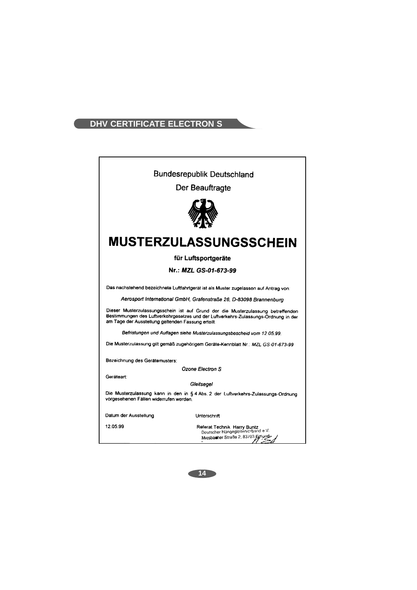# **DHV CERTIFICATE ELECTRON S**



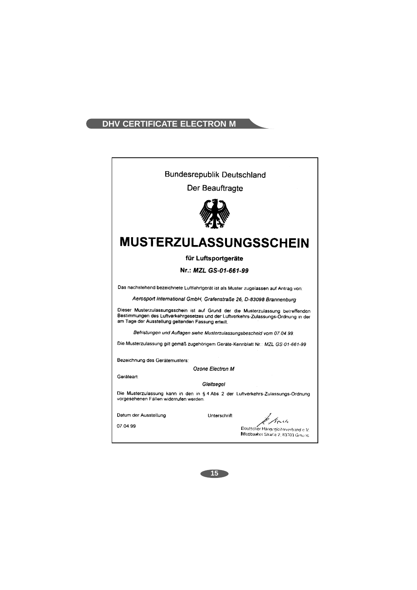# **DHV CERTIFICATE ELECTRON M**

| <b>Bundesrepublik Deutschland</b>                                                                                                                                                                                             |                                                                         |  |  |
|-------------------------------------------------------------------------------------------------------------------------------------------------------------------------------------------------------------------------------|-------------------------------------------------------------------------|--|--|
| Der Beauftragte                                                                                                                                                                                                               |                                                                         |  |  |
|                                                                                                                                                                                                                               |                                                                         |  |  |
| <b>MUSTERZULASSUNGSSCHEIN</b>                                                                                                                                                                                                 |                                                                         |  |  |
| für Luftsportgeräte                                                                                                                                                                                                           |                                                                         |  |  |
| Nr.: MZL GS-01-661-99                                                                                                                                                                                                         |                                                                         |  |  |
| Das nachstehend bezeichnete Luftfahrtgerät ist als Muster zugelassen auf Antrag von:                                                                                                                                          |                                                                         |  |  |
| Aerosport International GmbH, Grafenstraße 26, D-83098 Brannenburg                                                                                                                                                            |                                                                         |  |  |
| Dieser Musterzulassungsschein ist auf Grund der die Musterzulassung betreffenden<br>Bestimmungen des Luftverkehrgesetzes und der Luftverkehrs-Zulassungs-Ordnung in der<br>am Tage der Ausstellung geltenden Fassung erteilt. |                                                                         |  |  |
| Befristungen und Auflagen siehe Musterzulassungsbescheid vom 07.04.99.                                                                                                                                                        |                                                                         |  |  |
| Die Musterzulassung gilt gemäß zugehörigem Geräte-Kennblatt Nr.: MZL GS-01-661-99                                                                                                                                             |                                                                         |  |  |
| Bezeichnung des Gerätemusters:                                                                                                                                                                                                |                                                                         |  |  |
| Ozone Electron M                                                                                                                                                                                                              |                                                                         |  |  |
| Geräteart:<br>Gleitsegel                                                                                                                                                                                                      |                                                                         |  |  |
| Die Musterzulassung kann in den in § 4 Abs 2 der Luftverkehrs-Zulassungs-Ordnung<br>vorgesehenen Fällen widerrufen werden.                                                                                                    |                                                                         |  |  |
| Datum der Ausstellung<br>Unterschrift                                                                                                                                                                                         | to Bouch                                                                |  |  |
| 07.04.99                                                                                                                                                                                                                      | Deutscher Hängegieiterverband e.V.<br>Miesbacher Straße 2, 83703 Ginung |  |  |

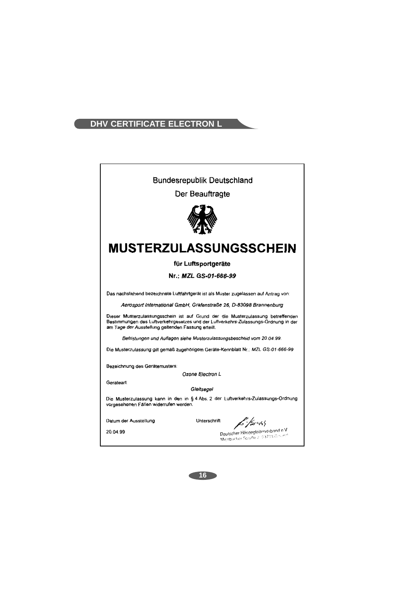# DHV CERTIFICATE ELECTRON L

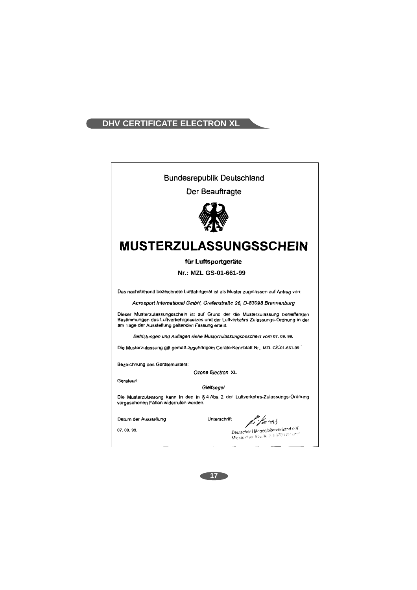# **DHV CERTIFICATE ELECTRON XL**

| <b>Bundesrepublik Deutschland</b>                                                                                                                                                                                             |  |  |  |
|-------------------------------------------------------------------------------------------------------------------------------------------------------------------------------------------------------------------------------|--|--|--|
| Der Beauftragte                                                                                                                                                                                                               |  |  |  |
|                                                                                                                                                                                                                               |  |  |  |
| MUSTERZULASSUNGSSCHEIN                                                                                                                                                                                                        |  |  |  |
| für Luftsportgeräte                                                                                                                                                                                                           |  |  |  |
| Nr.: MZL GS-01-661-99                                                                                                                                                                                                         |  |  |  |
| Das nachstehend bezeichnete Luftfahrtgerät ist als Muster zugelassen auf Antrag von:                                                                                                                                          |  |  |  |
| Aerosport International GmbH, Grafenstraße 26, D-83098 Brannenburg                                                                                                                                                            |  |  |  |
| Dieser Musterzulassungsschein ist auf Grund der die Musterzulassung betreffenden<br>Bestimmungen des Luftverkehrgesetzes und der Luftverkehrs-Zulassungs-Ordnung in der<br>am Tage der Ausstellung geltenden Fassung erteilt. |  |  |  |
| Befristungen und Auflagen siehe Musterzulassungsbescheid vom 07. 09. 99.                                                                                                                                                      |  |  |  |
| Die Musterzulassung gilt gemäß zugehörigem Geräte-Kennblatt Nr. MZL GS-01-661-99                                                                                                                                              |  |  |  |
| Bezeichnung des Gerätemusters:                                                                                                                                                                                                |  |  |  |
| Ozone Electron XL<br>Gerateart:                                                                                                                                                                                               |  |  |  |
| Gleitsegel                                                                                                                                                                                                                    |  |  |  |
| Die Musterzulassung kann in den in § 4 Abs. 2 der Luftverkehrs-Zulassungs-Ordnung<br>vorgesehenen Fällen widerrufen werden.                                                                                                   |  |  |  |
| $\frac{1}{2}$ / $\frac{1}{2}$ -45<br>Unterschrift<br>Datum der Ausstellung                                                                                                                                                    |  |  |  |
| Deutscher Hängegleiterverband e.V.<br>07.09.99.<br>Micsbucher Straße 2. 63703 Gmann                                                                                                                                           |  |  |  |

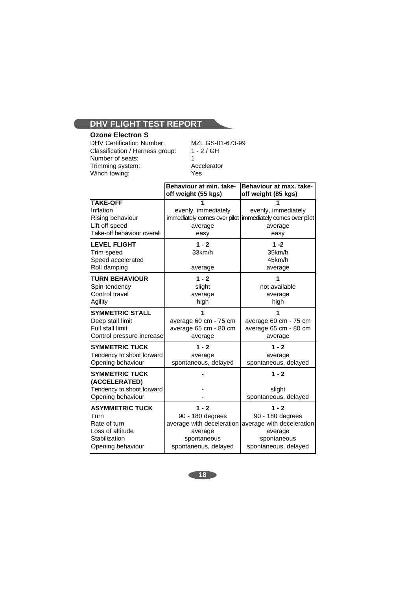# **Ozone Electron S**

DHV Certification Number: MZL GS-01-673-99<br>Classification / Harness group: 1 - 2 / GH Classification / Harness group: Number of seats:<br>
Trimming system: Trimming system: Accelerator Trimming system: Acce<br>Winch towing: The Minus System Winch towing:

|                                                                                                          | Behaviour at min. take-<br>off weight (55 kgs)                                                             | Behaviour at max. take-<br>off weight (85 kgs)                                                             |
|----------------------------------------------------------------------------------------------------------|------------------------------------------------------------------------------------------------------------|------------------------------------------------------------------------------------------------------------|
| <b>TAKE-OFF</b><br>Inflation<br>Rising behaviour<br>Lift off speed<br>Take-off behaviour overall         | evenly, immediately<br>immediately comes over pilot<br>average<br>easy                                     | evenly, immediately<br>immediately comes over pilot<br>average<br>easy                                     |
| <b>LEVEL FLIGHT</b><br>Trim speed<br>Speed accelerated<br>Roll damping                                   | $1 - 2$<br>33km/h<br>average                                                                               | $1 - 2$<br>35km/h<br>45km/h<br>average                                                                     |
| <b>TURN BEHAVIOUR</b><br>Spin tendency<br>Control travel<br>Agility                                      | $1 - 2$<br>slight<br>average<br>high                                                                       | 1<br>not available<br>average<br>high                                                                      |
| <b>SYMMETRIC STALL</b><br>Deep stall limit<br><b>Full stall limit</b><br>Control pressure increase       | average 60 cm - 75 cm<br>average 65 cm - 80 cm<br>average                                                  | average 60 cm - 75 cm<br>average 65 cm - 80 cm<br>average                                                  |
| <b>SYMMETRIC TUCK</b><br>Tendency to shoot forward<br>Opening behaviour                                  | $1 - 2$<br>average<br>spontaneous, delayed                                                                 | $1 - 2$<br>average<br>spontaneous, delayed                                                                 |
| <b>SYMMETRIC TUCK</b><br>(ACCELERATED)<br>Tendency to shoot forward<br>Opening behaviour                 |                                                                                                            | $1 - 2$<br>slight<br>spontaneous, delayed                                                                  |
| <b>ASYMMETRIC TUCK</b><br>Turn<br>Rate of turn<br>Loss of altitude<br>Stabilization<br>Opening behaviour | $1 - 2$<br>90 - 180 degrees<br>average with deceleration<br>average<br>spontaneous<br>spontaneous, delayed | $1 - 2$<br>90 - 180 degrees<br>average with deceleration<br>average<br>spontaneous<br>spontaneous, delayed |

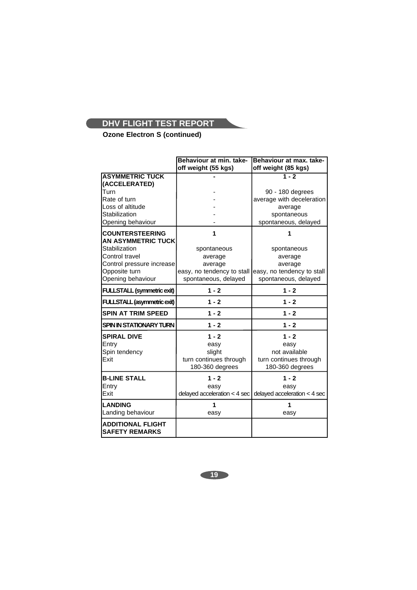**Ozone Electron S (continued)**

|                                                     | Behaviour at min. take-                            | Behaviour at max. take-                            |
|-----------------------------------------------------|----------------------------------------------------|----------------------------------------------------|
|                                                     | off weight (55 kgs)                                | off weight (85 kgs)                                |
| <b>ASYMMETRIC TUCK</b>                              |                                                    | $1 - 2$                                            |
| (ACCELERATED)                                       |                                                    |                                                    |
| Turn                                                |                                                    | 90 - 180 degrees                                   |
| Rate of turn                                        |                                                    | average with deceleration                          |
| Loss of altitude                                    |                                                    | average                                            |
| Stabilization                                       |                                                    | spontaneous                                        |
| Opening behaviour                                   |                                                    | spontaneous, delayed                               |
| <b>COUNTERSTEERING</b><br><b>AN ASYMMETRIC TUCK</b> | 1                                                  | 1                                                  |
| Stabilization                                       |                                                    |                                                    |
| Control travel                                      | spontaneous                                        | spontaneous                                        |
|                                                     | average                                            | average                                            |
| Control pressure increase                           | average                                            | average                                            |
| Opposite turn<br>Opening behaviour                  | easy, no tendency to stall<br>spontaneous, delayed | easy, no tendency to stall<br>spontaneous, delayed |
|                                                     |                                                    |                                                    |
| <b>FULLSTALL (symmetric exit)</b>                   | $1 - 2$                                            | $1 - 2$                                            |
| FULLSTALL (asymmetric exit)                         | $1 - 2$                                            | $1 - 2$                                            |
| <b>SPIN AT TRIM SPEED</b>                           | $1 - 2$                                            | $1 - 2$                                            |
| SPIN IN STATIONARY TURN                             | $1 - 2$                                            | $1 - 2$                                            |
| <b>SPIRAL DIVE</b>                                  | $1 - 2$                                            | $1 - 2$                                            |
| Entry                                               | easy                                               | easy                                               |
| Spin tendency                                       | slight                                             | not available                                      |
| Exit                                                | turn continues through                             | turn continues through                             |
|                                                     | 180-360 degrees                                    | 180-360 degrees                                    |
| <b>B-LINE STALL</b>                                 | $1 - 2$                                            | $1 - 2$                                            |
| Entry                                               | easy                                               | easy                                               |
| Exit                                                | delayed acceleration $<$ 4 sec                     | delayed acceleration $<$ 4 sec                     |
| <b>LANDING</b>                                      | 1                                                  | 1                                                  |
| Landing behaviour                                   | easy                                               | easy                                               |
| <b>ADDITIONAL FLIGHT</b><br><b>SAFETY REMARKS</b>   |                                                    |                                                    |

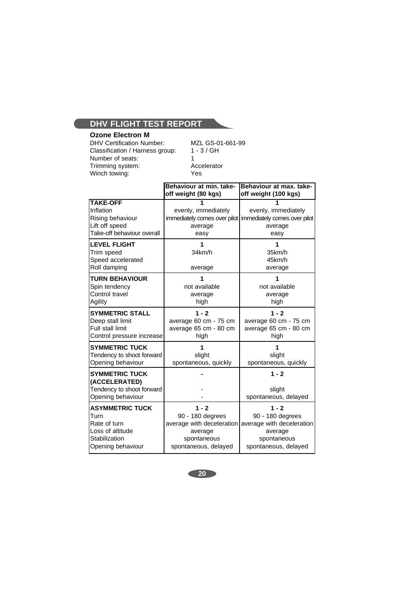# **Ozone Electron M**



DHV Certification Number: MZL GS-01-661-99<br>Classification / Harness group: 1 - 3 / GH Classification / Harness group: Number of seats:<br>
Trimming system:<br>
Accelerator Trimming system: Acce<br>Winch towing: The Minus Pes Winch towing:

|                                                                                                          | Behaviour at min. take-<br>off weight (80 kgs)                                | Behaviour at max, take-<br>off weight (100 kgs)                                                                                      |
|----------------------------------------------------------------------------------------------------------|-------------------------------------------------------------------------------|--------------------------------------------------------------------------------------------------------------------------------------|
| <b>TAKE-OFF</b><br>Inflation<br>Rising behaviour<br>Lift off speed<br>Take-off behaviour overall         | evenly, immediately<br>immediately comes over pilot<br>average<br>easy        | evenly, immediately<br>immediately comes over pilot<br>average<br>easy                                                               |
| <b>LEVEL FLIGHT</b><br>Trim speed<br>Speed accelerated<br>Roll damping                                   | 1<br>34km/h<br>average                                                        | 35km/h<br>45km/h<br>average                                                                                                          |
| <b>TURN BEHAVIOUR</b><br>Spin tendency<br>Control travel<br>Agility                                      | 1<br>not available<br>average<br>high                                         | 1<br>not available<br>average<br>high                                                                                                |
| <b>SYMMETRIC STALL</b><br>Deep stall limit<br><b>Full stall limit</b><br>Control pressure increase       | $1 - 2$<br>average 60 cm - 75 cm<br>average 65 cm - 80 cm<br>high             | $1 - 2$<br>average 60 cm - 75 cm<br>average 65 cm - 80 cm<br>high                                                                    |
| <b>SYMMETRIC TUCK</b><br>Tendency to shoot forward<br>Opening behaviour                                  | 1<br>slight<br>spontaneous, quickly                                           | 1<br>slight<br>spontaneous, quickly                                                                                                  |
| <b>SYMMETRIC TUCK</b><br>(ACCELERATED)<br>Tendency to shoot forward<br>Opening behaviour                 |                                                                               | $1 - 2$<br>slight<br>spontaneous, delayed                                                                                            |
| <b>ASYMMETRIC TUCK</b><br>Turn<br>Rate of turn<br>Loss of altitude<br>Stabilization<br>Opening behaviour | $1 - 2$<br>90 - 180 degrees<br>average<br>spontaneous<br>spontaneous, delayed | $1 - 2$<br>90 - 180 degrees<br>average with deceleration average with deceleration<br>average<br>spontaneous<br>spontaneous, delayed |

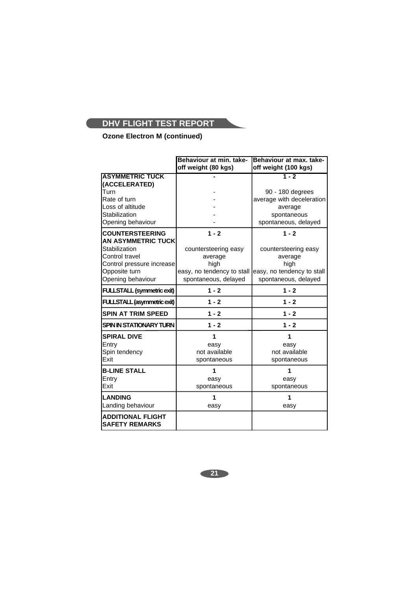# **Ozone Electron M (continued)**

|                                                   | Behaviour at min. take-    | Behaviour at max. take-    |
|---------------------------------------------------|----------------------------|----------------------------|
|                                                   | off weight (80 kgs)        | off weight (100 kgs)       |
| <b>ASYMMETRIC TUCK</b>                            |                            | $1 - 2$                    |
| (ACCELERATED)                                     |                            |                            |
| Turn                                              |                            | 90 - 180 degrees           |
| Rate of turn                                      |                            | average with deceleration  |
| Loss of altitude                                  |                            | average                    |
| Stabilization                                     |                            | spontaneous                |
| Opening behaviour                                 |                            | spontaneous, delayed       |
| <b>COUNTERSTEERING</b>                            | $1 - 2$                    | $1 - 2$                    |
| <b>AN ASYMMETRIC TUCK</b>                         |                            |                            |
| Stabilization                                     | countersteering easy       | countersteering easy       |
| Control travel                                    | average                    | average                    |
| Control pressure increase                         | high                       | high                       |
| Opposite turn                                     | easy, no tendency to stall | easy, no tendency to stall |
| Opening behaviour                                 | spontaneous, delayed       | spontaneous, delayed       |
| <b>FULLSTALL (symmetric exit)</b>                 | $1 - 2$                    | $1 - 2$                    |
| FULLSTALL (asymmetric exit)                       | $1 - 2$                    | $1 - 2$                    |
| <b>SPIN AT TRIM SPEED</b>                         | $1 - 2$                    | $1 - 2$                    |
| <b>SPIN IN STATIONARY TURN</b>                    | $1 - 2$                    | $1 - 2$                    |
| <b>SPIRAL DIVE</b>                                | 1                          | 1                          |
| Entry                                             | easy                       | easy                       |
| Spin tendency                                     | not available              | not available              |
| Exit                                              | spontaneous                | spontaneous                |
| <b>B-LINE STALL</b>                               | 1                          | 1                          |
| Entry                                             | easy                       | easy                       |
| Exit                                              | spontaneous                | spontaneous                |
| <b>LANDING</b>                                    | 1                          |                            |
| Landing behaviour                                 | easy                       | easy                       |
| <b>ADDITIONAL FLIGHT</b><br><b>SAFETY REMARKS</b> |                            |                            |

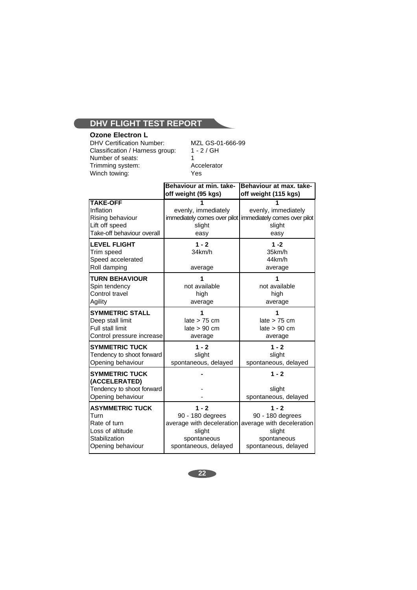# **Ozone Electron L**

DHV Certification Number: MZL GS-01-666-99<br>Classification / Harness group: 1 - 2 / GH Classification / Harness group: 1<br>Number of seats: 1 Number of seats:<br>
Trimming system:<br>
Trimming system:<br>
Accelerator Trimming system:

Winch towing: Yes

|                                                                                                          | Behaviour at min. take-<br>off weight (95 kgs)                                                            | Behaviour at max, take-<br>off weight (115 kgs)                                                           |
|----------------------------------------------------------------------------------------------------------|-----------------------------------------------------------------------------------------------------------|-----------------------------------------------------------------------------------------------------------|
| <b>TAKE-OFF</b><br>Inflation<br>Rising behaviour<br>Lift off speed<br>Take-off behaviour overall         | evenly, immediately<br>slight<br>easy                                                                     | evenly, immediately<br>immediately comes over pilot   immediately comes over pilot<br>slight<br>easy      |
| <b>LEVEL FLIGHT</b><br>Trim speed<br>Speed accelerated<br>Roll damping                                   | $1 - 2$<br>34km/h<br>average                                                                              | $1 - 2$<br>35km/h<br>44km/h<br>average                                                                    |
| <b>TURN BEHAVIOUR</b><br>Spin tendency<br>Control travel<br>Agility                                      | 1<br>not available<br>high<br>average                                                                     | 1<br>not available<br>high<br>average                                                                     |
| <b>SYMMETRIC STALL</b><br>Deep stall limit<br><b>Full stall limit</b><br>Control pressure increase       | late $> 75$ cm<br>late > 90 cm<br>average                                                                 | late > 75 cm<br>late > 90 cm<br>average                                                                   |
| <b>SYMMETRIC TUCK</b><br>Tendency to shoot forward<br>Opening behaviour                                  | $1 - 2$<br>slight<br>spontaneous, delayed                                                                 | $1 - 2$<br>slight<br>spontaneous, delayed                                                                 |
| <b>SYMMETRIC TUCK</b><br>(ACCELERATED)<br>Tendency to shoot forward<br>Opening behaviour                 |                                                                                                           | $1 - 2$<br>slight<br>spontaneous, delayed                                                                 |
| <b>ASYMMETRIC TUCK</b><br>Turn<br>Rate of turn<br>Loss of altitude<br>Stabilization<br>Opening behaviour | $1 - 2$<br>90 - 180 degrees<br>average with deceleration<br>slight<br>spontaneous<br>spontaneous, delayed | $1 - 2$<br>90 - 180 degrees<br>average with deceleration<br>slight<br>spontaneous<br>spontaneous, delayed |

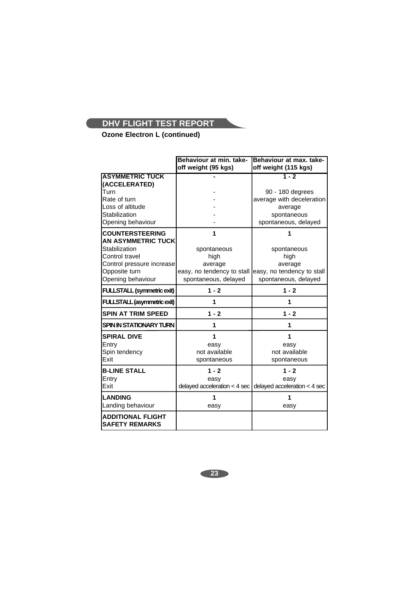**Ozone Electron L (continued)**

|                                                   | Behaviour at min. take-                                | Behaviour at max. take-                                       |
|---------------------------------------------------|--------------------------------------------------------|---------------------------------------------------------------|
|                                                   | off weight (95 kgs)                                    | off weight (115 kgs)                                          |
| <b>ASYMMETRIC TUCK</b>                            |                                                        | $1 - 2$                                                       |
| (ACCELERATED)                                     |                                                        |                                                               |
| Turn                                              |                                                        | 90 - 180 degrees                                              |
| Rate of turn                                      |                                                        | average with deceleration                                     |
| Loss of altitude                                  |                                                        | average                                                       |
| Stabilization                                     |                                                        | spontaneous                                                   |
| Opening behaviour                                 |                                                        | spontaneous, delayed                                          |
| <b>COUNTERSTEERING</b>                            | 1                                                      |                                                               |
| <b>AN ASYMMETRIC TUCK</b>                         |                                                        |                                                               |
| Stabilization                                     | spontaneous                                            | spontaneous                                                   |
| Control travel                                    | high                                                   | high                                                          |
| Control pressure increase                         | average                                                | average                                                       |
| Opposite turn                                     | easy, no tendency to stall leasy, no tendency to stall |                                                               |
| Opening behaviour                                 | spontaneous, delayed                                   | spontaneous, delayed                                          |
| <b>FULLSTALL (symmetric exit)</b>                 | $1 - 2$                                                | $1 - 2$                                                       |
| FULLSTALL (asymmetric exit)                       | 1                                                      | 1                                                             |
| <b>SPIN AT TRIM SPEED</b>                         | $1 - 2$                                                | $1 - 2$                                                       |
| <b>SPIN IN STATIONARY TURN</b>                    | 1                                                      | 1                                                             |
| <b>SPIRAL DIVE</b>                                | 1                                                      | 1                                                             |
| Entry                                             | easy                                                   | easy                                                          |
| Spin tendency                                     | not available                                          | not available                                                 |
| Exit                                              | spontaneous                                            | spontaneous                                                   |
| <b>B-LINE STALL</b>                               | $1 - 2$                                                | $1 - 2$                                                       |
| Entry                                             | easy                                                   | easy                                                          |
| Exit                                              |                                                        | delayed acceleration < 4 sec $ $ delayed acceleration < 4 sec |
| <b>LANDING</b>                                    | 1                                                      | 1                                                             |
| Landing behaviour                                 | easy                                                   | easy                                                          |
| <b>ADDITIONAL FLIGHT</b><br><b>SAFETY REMARKS</b> |                                                        |                                                               |

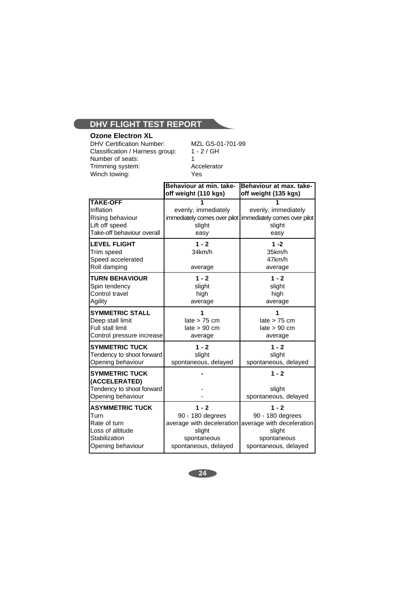# **Ozone Electron XL**

DHV Certification Number: MZL GS-01-701-99<br>Classification / Harness group: 1 - 2 / GH Classification / Harness group: Number of seats: 1<br>Trimming system: 1<br>Accelerator Trimming system: Acce<br>Winch towing: The Mes Winch towing:

|                                                                                                          | Behaviour at min. take-<br>off weight (110 kgs)                                                           | Behaviour at max. take-<br>off weight (135 kgs)                                                           |
|----------------------------------------------------------------------------------------------------------|-----------------------------------------------------------------------------------------------------------|-----------------------------------------------------------------------------------------------------------|
| <b>TAKE-OFF</b><br>Inflation<br>Rising behaviour<br>Lift off speed<br>Take-off behaviour overall         | evenly, immediately<br>slight<br>easy                                                                     | evenly, immediately<br>immediately comes over pilot   immediately comes over pilot<br>slight<br>easy      |
| <b>LEVEL FLIGHT</b><br>Trim speed<br>Speed accelerated<br>Roll damping                                   | $1 - 2$<br>34km/h<br>average                                                                              | $1 - 2$<br>35km/h<br>47km/h<br>average                                                                    |
| <b>TURN BEHAVIOUR</b><br>Spin tendency<br>Control travel<br>Agility                                      | $1 - 2$<br>slight<br>high<br>average                                                                      | $1 - 2$<br>slight<br>high<br>average                                                                      |
| <b>SYMMETRIC STALL</b><br>Deep stall limit<br><b>Full stall limit</b><br>Control pressure increase       | 1<br>late $> 75$ cm<br>late > 90 cm<br>average                                                            | late > 75 cm<br>late > 90 cm<br>average                                                                   |
| <b>SYMMETRIC TUCK</b><br>Tendency to shoot forward<br>Opening behaviour                                  | $1 - 2$<br>slight<br>spontaneous, delayed                                                                 | $1 - 2$<br>slight<br>spontaneous, delayed                                                                 |
| <b>SYMMETRIC TUCK</b><br>(ACCELERATED)<br>Tendency to shoot forward<br>Opening behaviour                 |                                                                                                           | $1 - 2$<br>slight<br>spontaneous, delayed                                                                 |
| <b>ASYMMETRIC TUCK</b><br>Turn<br>Rate of turn<br>Loss of altitude<br>Stabilization<br>Opening behaviour | $1 - 2$<br>90 - 180 degrees<br>average with deceleration<br>slight<br>spontaneous<br>spontaneous, delayed | $1 - 2$<br>90 - 180 degrees<br>average with deceleration<br>slight<br>spontaneous<br>spontaneous, delayed |

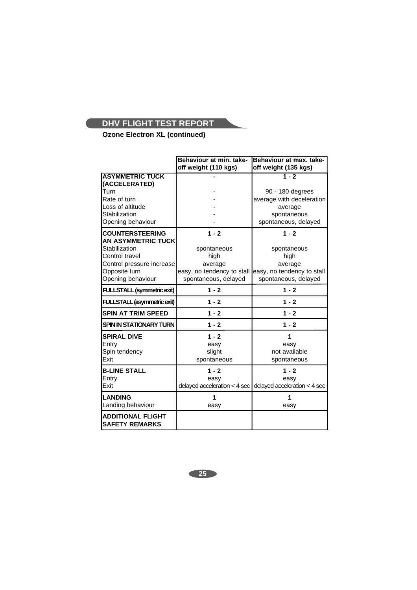**Ozone Electron XL (continued)**

|                                                     | Behaviour at min. take-                                | Behaviour at max. take-                                   |
|-----------------------------------------------------|--------------------------------------------------------|-----------------------------------------------------------|
|                                                     | off weight (110 kgs)                                   | off weight (135 kgs)                                      |
| <b>ASYMMETRIC TUCK</b><br>(ACCELERATED)             |                                                        | $1 - 2$                                                   |
| <b>Turn</b>                                         |                                                        | 90 - 180 degrees                                          |
| Rate of turn                                        |                                                        | average with deceleration                                 |
| Loss of altitude                                    |                                                        | average                                                   |
| Stabilization                                       |                                                        | spontaneous                                               |
| Opening behaviour                                   |                                                        | spontaneous, delayed                                      |
| <b>COUNTERSTEERING</b><br><b>AN ASYMMETRIC TUCK</b> | $1 - 2$                                                | $1 - 2$                                                   |
| Stabilization                                       | spontaneous                                            | spontaneous                                               |
| <b>Control travel</b>                               | high                                                   | high                                                      |
| Control pressure increase                           | average                                                | average                                                   |
| Opposite turn                                       | easy, no tendency to stall leasy, no tendency to stall |                                                           |
| Opening behaviour                                   | spontaneous, delayed                                   | spontaneous, delayed                                      |
| <b>FULLSTALL (symmetric exit)</b>                   | $1 - 2$                                                | $1 - 2$                                                   |
| <b>FULLSTALL (asymmetric exit)</b>                  | $1 - 2$                                                | $1 - 2$                                                   |
| <b>SPIN AT TRIM SPEED</b>                           | $1 - 2$                                                | $1 - 2$                                                   |
| <b>SPIN IN STATIONARY TURN</b>                      | $1 - 2$                                                | $1 - 2$                                                   |
| <b>SPIRAL DIVE</b>                                  | $1 - 2$                                                | 1                                                         |
| Entry                                               | easy                                                   | easy                                                      |
| Spin tendency                                       | slight                                                 | not available                                             |
| <b>Exit</b>                                         | spontaneous                                            | spontaneous                                               |
| <b>B-LINE STALL</b>                                 | $1 - 2$                                                | $1 - 2$                                                   |
| Entry                                               | easy                                                   | easy                                                      |
| <b>IExit</b>                                        |                                                        | delayed acceleration < 4 sec delayed acceleration < 4 sec |
| <b>LANDING</b>                                      | 1                                                      |                                                           |
| Landing behaviour                                   | easy                                                   | easy                                                      |
| <b>ADDITIONAL FLIGHT</b><br><b>SAFETY REMARKS</b>   |                                                        |                                                           |

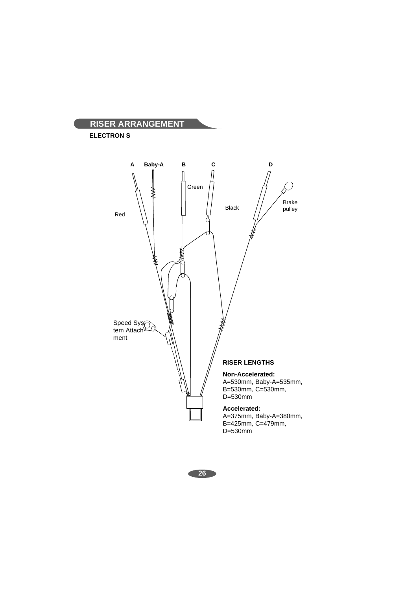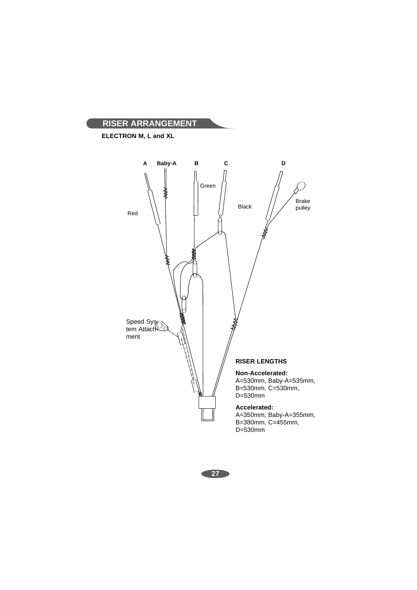

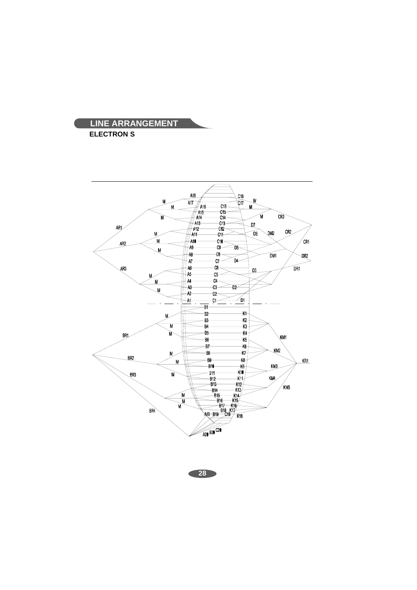

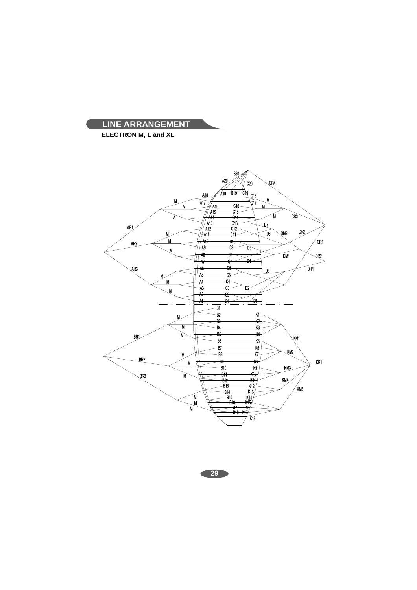

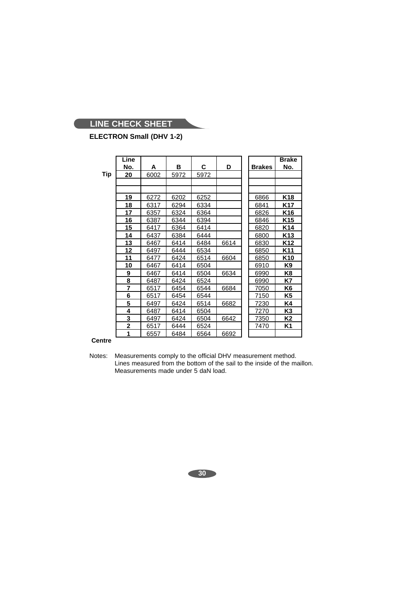# **ELECTRON Small (DHV 1-2)**

|     | Line           |      |      |      |      |               | <b>Brake</b>    |
|-----|----------------|------|------|------|------|---------------|-----------------|
|     | No.            | A    | в    | С    | D    | <b>Brakes</b> | <u>No.</u>      |
| Tip | 20             | 6002 | 5972 | 5972 |      |               |                 |
|     |                |      |      |      |      |               |                 |
|     |                |      |      |      |      |               |                 |
|     | 19             | 6272 | 6202 | 6252 |      | 6866          | K18             |
|     | 18             | 6317 | 6294 | 6334 |      | 6841          | K17             |
|     | 17             | 6357 | 6324 | 6364 |      | 6826          | K16             |
|     | 16             | 6387 | 6344 | 6394 |      | 6846          | K <sub>15</sub> |
|     | 15             | 6417 | 6364 | 6414 |      | 6820          | K <sub>14</sub> |
|     | 14             | 6437 | 6384 | 6444 |      | 6800          | K <sub>13</sub> |
|     | 13             | 6467 | 6414 | 6484 | 6614 | 6830          | K12             |
|     | 12             | 6497 | 6444 | 6534 |      | 6850          | K11             |
|     | 11             | 6477 | 6424 | 6514 | 6604 | 6850          | K10             |
|     | 10             | 6467 | 6414 | 6504 |      | 6910          | K9              |
|     | 9              | 6467 | 6414 | 6504 | 6634 | 6990          | K8              |
|     | 8              | 6487 | 6424 | 6524 |      | 6990          | K7              |
|     | 7              | 6517 | 6454 | 6544 | 6684 | 7050          | K6              |
|     | 6              | 6517 | 6454 | 6544 |      | 7150          | K5              |
|     | 5              | 6497 | 6424 | 6514 | 6682 | 7230          | K4              |
|     | 4              | 6487 | 6414 | 6504 |      | 7270          | K3              |
|     | 3              | 6497 | 6424 | 6504 | 6642 | 7350          | K2              |
|     | $\overline{2}$ | 6517 | 6444 | 6524 |      | 7470          | K1              |
|     | 1              | 6557 | 6484 | 6564 | 6692 |               |                 |

# **Centre**

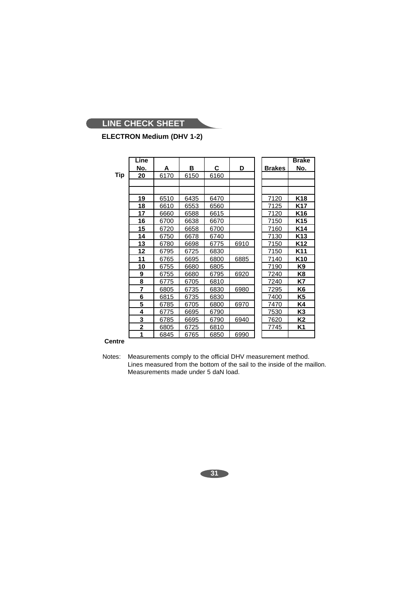# **ELECTRON Medium (DHV 1-2)**

|     | Line           |      |      |      |      |               | <b>Brake</b> |
|-----|----------------|------|------|------|------|---------------|--------------|
|     | No.            | Α    | В    | C    | D    | <b>Brakes</b> | No.          |
| Tip | 20             | 6170 | 6150 | 6160 |      |               |              |
|     |                |      |      |      |      |               |              |
|     |                |      |      |      |      |               |              |
|     | 19             | 6510 | 6435 | 6470 |      | 7120          | K18          |
|     | 18             | 6610 | 6553 | 6560 |      | 7125          | K17          |
|     | 17             | 6660 | 6588 | 6615 |      | 7120          | K16          |
|     | 16             | 6700 | 6638 | 6670 |      | 7150          | K15          |
|     | 15             | 6720 | 6658 | 6700 |      | 7160          | K14          |
|     | 14             | 6750 | 6678 | 6740 |      | 7130          | K13          |
|     | 13             | 6780 | 6698 | 6775 | 6910 | 7150          | K12          |
|     | <u> 12 </u>    | 6795 | 6725 | 6830 |      | 7150          | K11          |
|     | 11             | 6765 | 6695 | 6800 | 6885 | 7140          | K10          |
|     | 10             | 6755 | 6680 | 6805 |      | 7190          | K9           |
|     | 9              | 6755 | 6680 | 6795 | 6920 | 7240          | K8           |
|     | 8              | 6775 | 6705 | 6810 |      | 7240          | K7           |
|     | 7              | 6805 | 6735 | 6830 | 6980 | 7295          | K6           |
|     | 6              | 6815 | 6735 | 6830 |      | 7400          | K5           |
|     | 5              | 6785 | 6705 | 6800 | 6970 | 7470          | K4           |
|     | 4              | 6775 | 6695 | 6790 |      | 7530          | K3           |
|     | 3              | 6785 | 6695 | 6790 | 6940 | 7620          | K2           |
|     | $\overline{2}$ | 6805 | 6725 | 6810 |      | 7745          | K1           |
|     | 1              | 6845 | 6765 | 6850 | 6990 |               |              |

# **Centre**

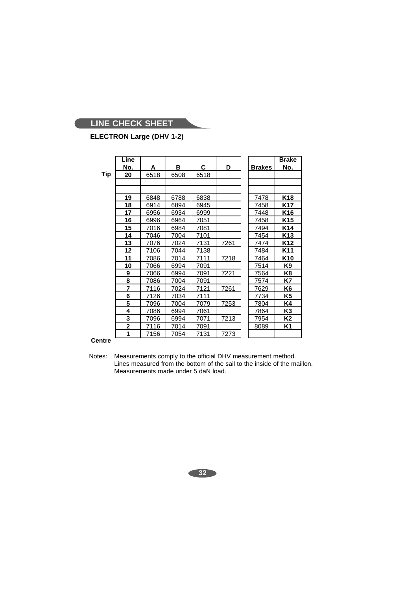# **ELECTRON Large (DHV 1-2)**

**Tip**

|   | Line |      |      |      |      |               | <b>Brake</b>    |
|---|------|------|------|------|------|---------------|-----------------|
|   | No.  | A    | в    | C    | D    | <b>Brakes</b> | No.             |
| J | 20   | 6518 | 6508 | 6518 |      |               |                 |
|   |      |      |      |      |      |               |                 |
|   |      |      |      |      |      |               |                 |
|   | 19   | 6848 | 6788 | 6838 |      | 7478          | K18             |
|   | 18   | 6914 | 6894 | 6945 |      | 7458          | K17             |
|   | 17   | 6956 | 6934 | 6999 |      | 7448          | K <sub>16</sub> |
|   | 16   | 6996 | 6964 | 7051 |      | 7458          | K <sub>15</sub> |
|   | 15   | 7016 | 6984 | 7081 |      | 7494          | K <sub>14</sub> |
|   | 14   | 7046 | 7004 | 7101 |      | 7454          | K <sub>13</sub> |
|   | 13   | 7076 | 7024 | 7131 | 7261 | 7474          | K <sub>12</sub> |
|   | 12   | 7106 | 7044 | 7138 |      | 7484          | K <sub>11</sub> |
|   | 11   | 7086 | 7014 | 7111 | 7218 | 7464          | K <sub>10</sub> |
|   | 10   | 7066 | 6994 | 7091 |      | 7514          | K9              |
|   | 9    | 7066 | 6994 | 7091 | 7221 | 7564          | K8              |
|   | 8    | 7086 | 7004 | 7091 |      | 7574          | K7              |
|   | 7    | 7116 | 7024 | 7121 | 7261 | 7629          | K6              |
|   | 6    | 7126 | 7034 | 7111 |      | 7734          | K5              |
|   | 5    | 7096 | 7004 | 7079 | 7253 | 7804          | K4              |
|   | 4    | 7086 | 6994 | 7061 |      | 7864          | K3              |
|   | 3    | 7096 | 6994 | 7071 | 7213 | 7954          | Κ2              |
|   | 2    | 7116 | 7014 | 7091 |      | 8089          | K1              |
|   | 1    | 7156 | 7054 | 7131 | 7273 |               |                 |

# **Centre**